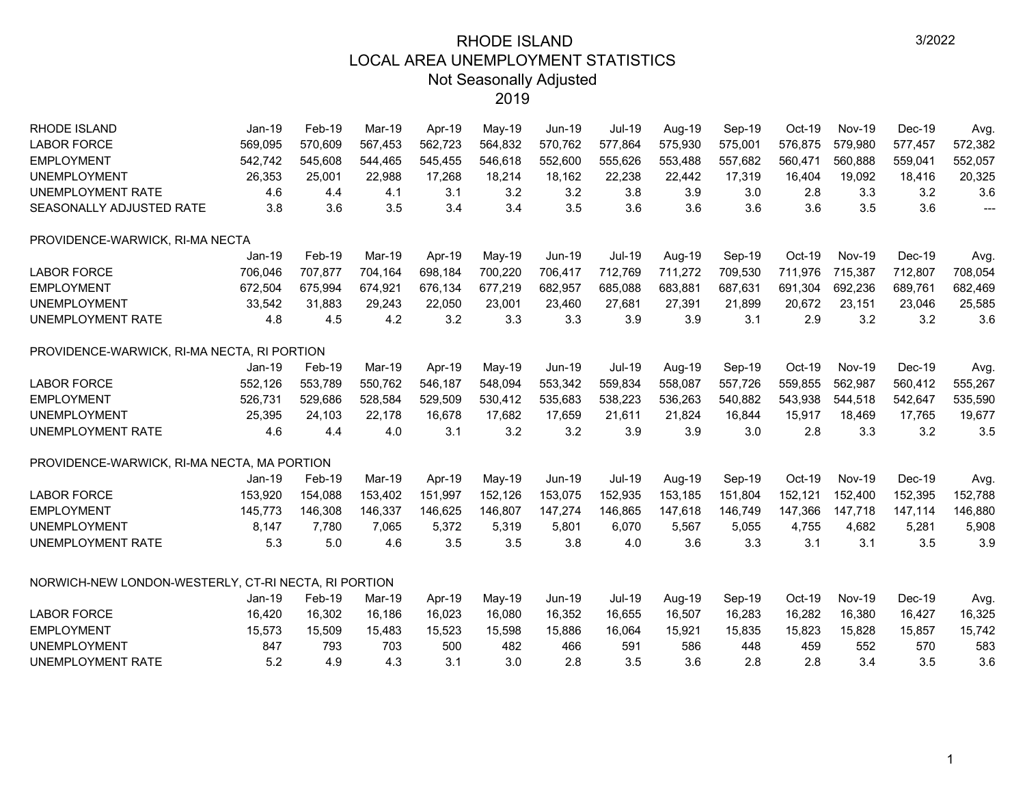| <b>RHODE ISLAND</b>                                  | $Jan-19$ | Feb-19  | Mar-19  | Apr-19  | May-19   | Jun-19        | Jul-19        | Aug-19  | Sep-19  | Oct-19  | <b>Nov-19</b> | Dec-19  | Avg.           |
|------------------------------------------------------|----------|---------|---------|---------|----------|---------------|---------------|---------|---------|---------|---------------|---------|----------------|
| <b>LABOR FORCE</b>                                   | 569,095  | 570.609 | 567,453 | 562,723 | 564,832  | 570,762       | 577,864       | 575,930 | 575,001 | 576,875 | 579,980       | 577,457 | 572,382        |
| <b>EMPLOYMENT</b>                                    | 542,742  | 545,608 | 544,465 | 545,455 | 546,618  | 552,600       | 555,626       | 553,488 | 557,682 | 560,471 | 560,888       | 559,041 | 552,057        |
| <b>UNEMPLOYMENT</b>                                  | 26,353   | 25,001  | 22,988  | 17,268  | 18,214   | 18,162        | 22,238        | 22,442  | 17,319  | 16,404  | 19,092        | 18,416  | 20,325         |
| UNEMPLOYMENT RATE                                    | 4.6      | 4.4     | 4.1     | 3.1     | 3.2      | 3.2           | 3.8           | 3.9     | 3.0     | 2.8     | 3.3           | 3.2     | 3.6            |
| SEASONALLY ADJUSTED RATE                             | 3.8      | 3.6     | 3.5     | 3.4     | 3.4      | 3.5           | 3.6           | 3.6     | 3.6     | 3.6     | 3.5           | 3.6     | $\overline{a}$ |
| PROVIDENCE-WARWICK, RI-MA NECTA                      |          |         |         |         |          |               |               |         |         |         |               |         |                |
|                                                      | $Jan-19$ | Feb-19  | Mar-19  | Apr-19  | May-19   | Jun-19        | <b>Jul-19</b> | Aug-19  | Sep-19  | Oct-19  | <b>Nov-19</b> | Dec-19  | Avg.           |
| <b>LABOR FORCE</b>                                   | 706,046  | 707,877 | 704,164 | 698,184 | 700,220  | 706,417       | 712,769       | 711,272 | 709,530 | 711,976 | 715,387       | 712,807 | 708,054        |
| <b>EMPLOYMENT</b>                                    | 672,504  | 675,994 | 674,921 | 676,134 | 677,219  | 682,957       | 685,088       | 683,881 | 687,631 | 691,304 | 692,236       | 689,761 | 682,469        |
| <b>UNEMPLOYMENT</b>                                  | 33,542   | 31,883  | 29,243  | 22,050  | 23,001   | 23,460        | 27,681        | 27,391  | 21,899  | 20,672  | 23,151        | 23,046  | 25,585         |
| UNEMPLOYMENT RATE                                    | 4.8      | 4.5     | 4.2     | 3.2     | 3.3      | 3.3           | 3.9           | 3.9     | 3.1     | 2.9     | 3.2           | 3.2     | 3.6            |
| PROVIDENCE-WARWICK, RI-MA NECTA, RI PORTION          |          |         |         |         |          |               |               |         |         |         |               |         |                |
|                                                      | $Jan-19$ | Feb-19  | Mar-19  | Apr-19  | May-19   | <b>Jun-19</b> | <b>Jul-19</b> | Aug-19  | Sep-19  | Oct-19  | <b>Nov-19</b> | Dec-19  | Avg.           |
| <b>LABOR FORCE</b>                                   | 552,126  | 553,789 | 550,762 | 546,187 | 548,094  | 553,342       | 559,834       | 558,087 | 557,726 | 559,855 | 562,987       | 560,412 | 555,267        |
| <b>EMPLOYMENT</b>                                    | 526,731  | 529,686 | 528,584 | 529,509 | 530,412  | 535,683       | 538,223       | 536,263 | 540,882 | 543,938 | 544,518       | 542,647 | 535,590        |
| <b>UNEMPLOYMENT</b>                                  | 25,395   | 24,103  | 22,178  | 16,678  | 17,682   | 17,659        | 21,611        | 21,824  | 16,844  | 15,917  | 18,469        | 17,765  | 19,677         |
| <b>UNEMPLOYMENT RATE</b>                             | 4.6      | 4.4     | 4.0     | 3.1     | 3.2      | 3.2           | 3.9           | 3.9     | 3.0     | 2.8     | 3.3           | 3.2     | 3.5            |
| PROVIDENCE-WARWICK, RI-MA NECTA, MA PORTION          |          |         |         |         |          |               |               |         |         |         |               |         |                |
|                                                      | $Jan-19$ | Feb-19  | Mar-19  | Apr-19  | May-19   | <b>Jun-19</b> | <b>Jul-19</b> | Aug-19  | Sep-19  | Oct-19  | <b>Nov-19</b> | Dec-19  | Avg.           |
| <b>LABOR FORCE</b>                                   | 153,920  | 154,088 | 153,402 | 151,997 | 152,126  | 153,075       | 152,935       | 153,185 | 151,804 | 152,121 | 152,400       | 152,395 | 152,788        |
| <b>EMPLOYMENT</b>                                    | 145,773  | 146,308 | 146,337 | 146,625 | 146,807  | 147,274       | 146,865       | 147,618 | 146,749 | 147,366 | 147,718       | 147,114 | 146,880        |
| <b>UNEMPLOYMENT</b>                                  | 8.147    | 7,780   | 7,065   | 5,372   | 5,319    | 5,801         | 6,070         | 5,567   | 5,055   | 4,755   | 4,682         | 5,281   | 5,908          |
| <b>UNEMPLOYMENT RATE</b>                             | 5.3      | 5.0     | 4.6     | 3.5     | 3.5      | 3.8           | 4.0           | 3.6     | 3.3     | 3.1     | 3.1           | 3.5     | 3.9            |
| NORWICH-NEW LONDON-WESTERLY, CT-RI NECTA, RI PORTION |          |         |         |         |          |               |               |         |         |         |               |         |                |
|                                                      | $Jan-19$ | Feb-19  | Mar-19  | Apr-19  | $May-19$ | <b>Jun-19</b> | <b>Jul-19</b> | Aug-19  | Sep-19  | Oct-19  | <b>Nov-19</b> | Dec-19  | Avg.           |
| <b>LABOR FORCE</b>                                   | 16,420   | 16,302  | 16,186  | 16,023  | 16,080   | 16,352        | 16,655        | 16,507  | 16,283  | 16,282  | 16,380        | 16,427  | 16,325         |
| <b>EMPLOYMENT</b>                                    | 15,573   | 15,509  | 15,483  | 15,523  | 15,598   | 15,886        | 16,064        | 15,921  | 15,835  | 15,823  | 15,828        | 15,857  | 15,742         |
| <b>UNEMPLOYMENT</b>                                  | 847      | 793     | 703     | 500     | 482      | 466           | 591           | 586     | 448     | 459     | 552           | 570     | 583            |
| <b>UNEMPLOYMENT RATE</b>                             | 5.2      | 4.9     | 4.3     | 3.1     | 3.0      | 2.8           | 3.5           | 3.6     | 2.8     | 2.8     | 3.4           | 3.5     | 3.6            |
|                                                      |          |         |         |         |          |               |               |         |         |         |               |         |                |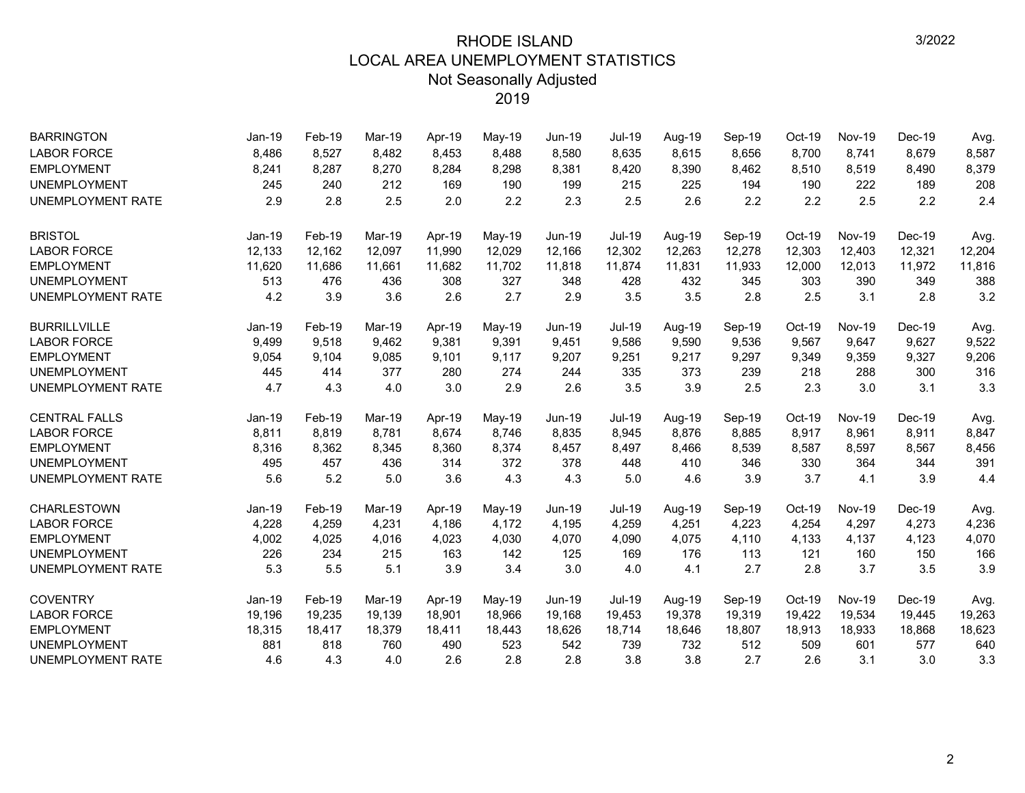| <b>BARRINGTON</b>        | Jan-19   | Feb-19 | Mar-19 | Apr-19 | May-19   | <b>Jun-19</b> | <b>Jul-19</b> | Aug-19 | Sep-19 | Oct-19 | <b>Nov-19</b> | Dec-19 | Avg.   |
|--------------------------|----------|--------|--------|--------|----------|---------------|---------------|--------|--------|--------|---------------|--------|--------|
| <b>LABOR FORCE</b>       | 8,486    | 8,527  | 8,482  | 8,453  | 8,488    | 8,580         | 8,635         | 8,615  | 8,656  | 8,700  | 8,741         | 8,679  | 8,587  |
| <b>EMPLOYMENT</b>        | 8,241    | 8,287  | 8,270  | 8,284  | 8,298    | 8,381         | 8,420         | 8,390  | 8,462  | 8,510  | 8,519         | 8,490  | 8,379  |
| <b>UNEMPLOYMENT</b>      | 245      | 240    | 212    | 169    | 190      | 199           | 215           | 225    | 194    | 190    | 222           | 189    | 208    |
| <b>UNEMPLOYMENT RATE</b> | 2.9      | 2.8    | 2.5    | 2.0    | 2.2      | 2.3           | 2.5           | 2.6    | 2.2    | 2.2    | 2.5           | 2.2    | 2.4    |
| <b>BRISTOL</b>           | Jan-19   | Feb-19 | Mar-19 | Apr-19 | May-19   | <b>Jun-19</b> | <b>Jul-19</b> | Aug-19 | Sep-19 | Oct-19 | <b>Nov-19</b> | Dec-19 | Avg.   |
| <b>LABOR FORCE</b>       | 12,133   | 12,162 | 12,097 | 11,990 | 12,029   | 12,166        | 12,302        | 12,263 | 12,278 | 12,303 | 12,403        | 12,321 | 12,204 |
| <b>EMPLOYMENT</b>        | 11,620   | 11,686 | 11,661 | 11,682 | 11,702   | 11,818        | 11,874        | 11,831 | 11,933 | 12,000 | 12,013        | 11,972 | 11,816 |
| <b>UNEMPLOYMENT</b>      | 513      | 476    | 436    | 308    | 327      | 348           | 428           | 432    | 345    | 303    | 390           | 349    | 388    |
| <b>UNEMPLOYMENT RATE</b> | 4.2      | 3.9    | 3.6    | 2.6    | 2.7      | 2.9           | 3.5           | 3.5    | 2.8    | 2.5    | 3.1           | 2.8    | 3.2    |
| <b>BURRILLVILLE</b>      | Jan-19   | Feb-19 | Mar-19 | Apr-19 | $May-19$ | Jun-19        | Jul-19        | Aug-19 | Sep-19 | Oct-19 | <b>Nov-19</b> | Dec-19 | Avg.   |
| <b>LABOR FORCE</b>       | 9,499    | 9,518  | 9.462  | 9,381  | 9,391    | 9,451         | 9,586         | 9,590  | 9,536  | 9,567  | 9,647         | 9,627  | 9,522  |
| <b>EMPLOYMENT</b>        | 9,054    | 9,104  | 9,085  | 9,101  | 9,117    | 9,207         | 9,251         | 9,217  | 9,297  | 9,349  | 9,359         | 9,327  | 9,206  |
| <b>UNEMPLOYMENT</b>      | 445      | 414    | 377    | 280    | 274      | 244           | 335           | 373    | 239    | 218    | 288           | 300    | 316    |
| <b>UNEMPLOYMENT RATE</b> | 4.7      | 4.3    | 4.0    | 3.0    | 2.9      | 2.6           | 3.5           | 3.9    | 2.5    | 2.3    | 3.0           | 3.1    | 3.3    |
| <b>CENTRAL FALLS</b>     | $Jan-19$ | Feb-19 | Mar-19 | Apr-19 | May-19   | Jun-19        | <b>Jul-19</b> | Aug-19 | Sep-19 | Oct-19 | <b>Nov-19</b> | Dec-19 | Avg.   |
| <b>LABOR FORCE</b>       | 8,811    | 8,819  | 8,781  | 8,674  | 8,746    | 8,835         | 8,945         | 8,876  | 8,885  | 8,917  | 8,961         | 8,911  | 8,847  |
| <b>EMPLOYMENT</b>        | 8,316    | 8,362  | 8,345  | 8,360  | 8,374    | 8,457         | 8,497         | 8,466  | 8,539  | 8,587  | 8,597         | 8,567  | 8,456  |
| <b>UNEMPLOYMENT</b>      | 495      | 457    | 436    | 314    | 372      | 378           | 448           | 410    | 346    | 330    | 364           | 344    | 391    |
| <b>UNEMPLOYMENT RATE</b> | 5.6      | 5.2    | 5.0    | 3.6    | 4.3      | 4.3           | 5.0           | 4.6    | 3.9    | 3.7    | 4.1           | 3.9    | 4.4    |
| CHARLESTOWN              | Jan-19   | Feb-19 | Mar-19 | Apr-19 | May-19   | <b>Jun-19</b> | Jul-19        | Aug-19 | Sep-19 | Oct-19 | <b>Nov-19</b> | Dec-19 | Avg.   |
| <b>LABOR FORCE</b>       | 4,228    | 4,259  | 4,231  | 4,186  | 4,172    | 4,195         | 4,259         | 4,251  | 4,223  | 4,254  | 4,297         | 4,273  | 4,236  |
| <b>EMPLOYMENT</b>        | 4,002    | 4,025  | 4,016  | 4,023  | 4,030    | 4,070         | 4,090         | 4,075  | 4,110  | 4,133  | 4,137         | 4,123  | 4,070  |
| <b>UNEMPLOYMENT</b>      | 226      | 234    | 215    | 163    | 142      | 125           | 169           | 176    | 113    | 121    | 160           | 150    | 166    |
| <b>UNEMPLOYMENT RATE</b> | 5.3      | 5.5    | 5.1    | 3.9    | 3.4      | 3.0           | 4.0           | 4.1    | 2.7    | 2.8    | 3.7           | 3.5    | 3.9    |
| <b>COVENTRY</b>          | $Jan-19$ | Feb-19 | Mar-19 | Apr-19 | May-19   | <b>Jun-19</b> | <b>Jul-19</b> | Aug-19 | Sep-19 | Oct-19 | <b>Nov-19</b> | Dec-19 | Avg.   |
| <b>LABOR FORCE</b>       | 19,196   | 19,235 | 19,139 | 18,901 | 18,966   | 19,168        | 19,453        | 19,378 | 19,319 | 19,422 | 19,534        | 19,445 | 19,263 |
| <b>EMPLOYMENT</b>        | 18,315   | 18,417 | 18,379 | 18,411 | 18,443   | 18,626        | 18,714        | 18,646 | 18,807 | 18,913 | 18,933        | 18,868 | 18,623 |
| <b>UNEMPLOYMENT</b>      | 881      | 818    | 760    | 490    | 523      | 542           | 739           | 732    | 512    | 509    | 601           | 577    | 640    |
| <b>UNEMPLOYMENT RATE</b> | 4.6      | 4.3    | 4.0    | 2.6    | 2.8      | 2.8           | 3.8           | 3.8    | 2.7    | 2.6    | 3.1           | 3.0    | 3.3    |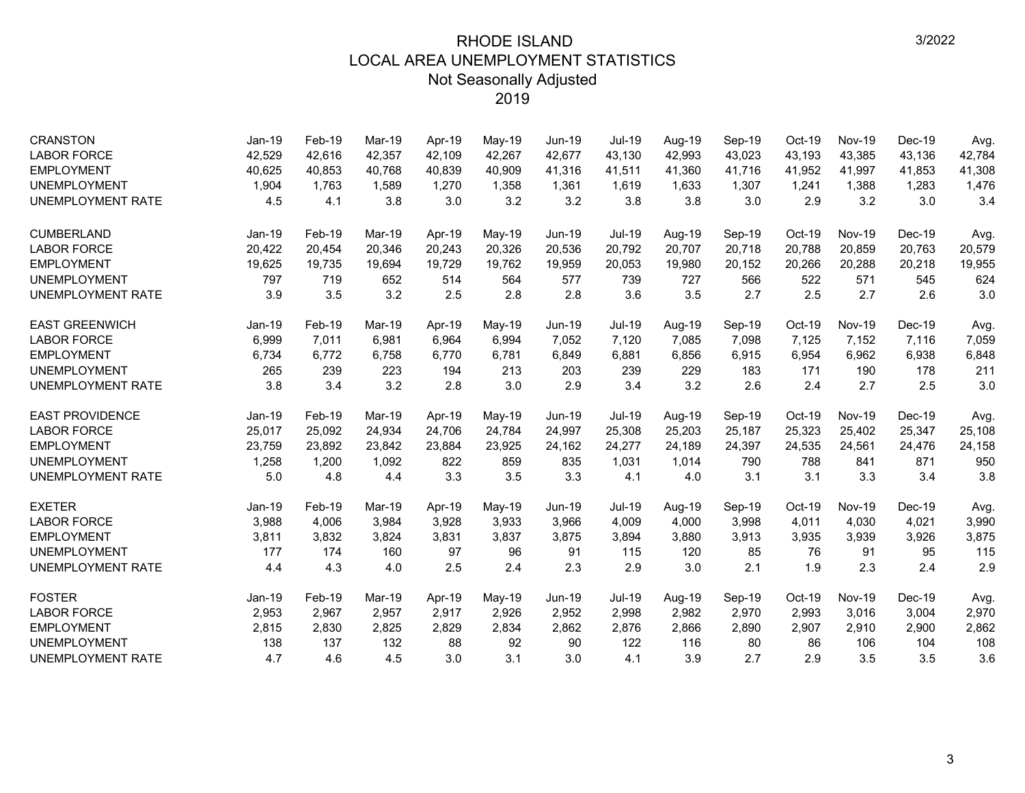| <b>CRANSTON</b>          | $Jan-19$ | Feb-19 | Mar-19 | Apr-19 | May-19   | <b>Jun-19</b> | <b>Jul-19</b> | Aug-19 | Sep-19 | $Oct-19$ | <b>Nov-19</b> | Dec-19   | Avg.   |
|--------------------------|----------|--------|--------|--------|----------|---------------|---------------|--------|--------|----------|---------------|----------|--------|
| <b>LABOR FORCE</b>       | 42,529   | 42,616 | 42,357 | 42,109 | 42,267   | 42,677        | 43,130        | 42,993 | 43,023 | 43,193   | 43,385        | 43,136   | 42,784 |
| <b>EMPLOYMENT</b>        | 40,625   | 40,853 | 40.768 | 40,839 | 40,909   | 41,316        | 41,511        | 41,360 | 41,716 | 41,952   | 41,997        | 41,853   | 41,308 |
| <b>UNEMPLOYMENT</b>      | 1,904    | 1,763  | 1,589  | 1,270  | 1,358    | 1,361         | 1,619         | 1,633  | 1,307  | 1,241    | 1,388         | 1,283    | 1,476  |
| UNEMPLOYMENT RATE        | 4.5      | 4.1    | 3.8    | 3.0    | 3.2      | 3.2           | 3.8           | 3.8    | 3.0    | 2.9      | 3.2           | 3.0      | 3.4    |
| <b>CUMBERLAND</b>        | Jan-19   | Feb-19 | Mar-19 | Apr-19 | $May-19$ | <b>Jun-19</b> | <b>Jul-19</b> | Aug-19 | Sep-19 | Oct-19   | <b>Nov-19</b> | $Dec-19$ | Avg.   |
| <b>LABOR FORCE</b>       | 20,422   | 20,454 | 20,346 | 20,243 | 20,326   | 20,536        | 20,792        | 20,707 | 20,718 | 20,788   | 20,859        | 20,763   | 20,579 |
| <b>EMPLOYMENT</b>        | 19,625   | 19,735 | 19.694 | 19,729 | 19,762   | 19,959        | 20,053        | 19,980 | 20,152 | 20,266   | 20,288        | 20,218   | 19,955 |
| <b>UNEMPLOYMENT</b>      | 797      | 719    | 652    | 514    | 564      | 577           | 739           | 727    | 566    | 522      | 571           | 545      | 624    |
| UNEMPLOYMENT RATE        | 3.9      | 3.5    | 3.2    | 2.5    | 2.8      | 2.8           | 3.6           | 3.5    | 2.7    | 2.5      | 2.7           | 2.6      | 3.0    |
| <b>EAST GREENWICH</b>    | $Jan-19$ | Feb-19 | Mar-19 | Apr-19 | May-19   | <b>Jun-19</b> | <b>Jul-19</b> | Aug-19 | Sep-19 | Oct-19   | <b>Nov-19</b> | $Dec-19$ | Avg.   |
| <b>LABOR FORCE</b>       | 6,999    | 7,011  | 6,981  | 6,964  | 6,994    | 7,052         | 7,120         | 7,085  | 7,098  | 7,125    | 7,152         | 7,116    | 7,059  |
| <b>EMPLOYMENT</b>        | 6,734    | 6,772  | 6,758  | 6,770  | 6,781    | 6,849         | 6,881         | 6,856  | 6,915  | 6,954    | 6,962         | 6,938    | 6,848  |
| <b>UNEMPLOYMENT</b>      | 265      | 239    | 223    | 194    | 213      | 203           | 239           | 229    | 183    | 171      | 190           | 178      | 211    |
| UNEMPLOYMENT RATE        | 3.8      | 3.4    | 3.2    | 2.8    | 3.0      | 2.9           | 3.4           | 3.2    | 2.6    | 2.4      | 2.7           | 2.5      | 3.0    |
| <b>EAST PROVIDENCE</b>   | $Jan-19$ | Feb-19 | Mar-19 | Apr-19 | May-19   | <b>Jun-19</b> | <b>Jul-19</b> | Aug-19 | Sep-19 | Oct-19   | <b>Nov-19</b> | Dec-19   | Avg.   |
| <b>LABOR FORCE</b>       | 25,017   | 25,092 | 24,934 | 24,706 | 24,784   | 24,997        | 25,308        | 25,203 | 25,187 | 25,323   | 25,402        | 25,347   | 25,108 |
| <b>EMPLOYMENT</b>        | 23,759   | 23,892 | 23,842 | 23,884 | 23,925   | 24,162        | 24,277        | 24,189 | 24,397 | 24,535   | 24,561        | 24,476   | 24,158 |
| <b>UNEMPLOYMENT</b>      | 1,258    | 1,200  | 1,092  | 822    | 859      | 835           | 1,031         | 1,014  | 790    | 788      | 841           | 871      | 950    |
| UNEMPLOYMENT RATE        | 5.0      | 4.8    | 4.4    | 3.3    | 3.5      | 3.3           | 4.1           | 4.0    | 3.1    | 3.1      | 3.3           | 3.4      | 3.8    |
| <b>EXETER</b>            | Jan-19   | Feb-19 | Mar-19 | Apr-19 | May-19   | <b>Jun-19</b> | Jul-19        | Aug-19 | Sep-19 | Oct-19   | <b>Nov-19</b> | Dec-19   | Avg.   |
| <b>LABOR FORCE</b>       | 3,988    | 4,006  | 3,984  | 3,928  | 3,933    | 3,966         | 4,009         | 4,000  | 3,998  | 4,011    | 4,030         | 4,021    | 3,990  |
| <b>EMPLOYMENT</b>        | 3,811    | 3,832  | 3,824  | 3,831  | 3,837    | 3,875         | 3,894         | 3,880  | 3,913  | 3,935    | 3,939         | 3,926    | 3,875  |
| <b>UNEMPLOYMENT</b>      | 177      | 174    | 160    | 97     | 96       | 91            | 115           | 120    | 85     | 76       | 91            | 95       | 115    |
| <b>UNEMPLOYMENT RATE</b> | 4.4      | 4.3    | 4.0    | 2.5    | 2.4      | 2.3           | 2.9           | 3.0    | 2.1    | 1.9      | 2.3           | 2.4      | 2.9    |
| <b>FOSTER</b>            | Jan-19   | Feb-19 | Mar-19 | Apr-19 | May-19   | <b>Jun-19</b> | <b>Jul-19</b> | Aug-19 | Sep-19 | Oct-19   | <b>Nov-19</b> | $Dec-19$ | Avg.   |
| <b>LABOR FORCE</b>       | 2,953    | 2,967  | 2,957  | 2,917  | 2,926    | 2,952         | 2,998         | 2,982  | 2,970  | 2,993    | 3,016         | 3,004    | 2,970  |
| <b>EMPLOYMENT</b>        | 2,815    | 2,830  | 2,825  | 2,829  | 2,834    | 2,862         | 2,876         | 2,866  | 2,890  | 2,907    | 2,910         | 2,900    | 2,862  |
| <b>UNEMPLOYMENT</b>      | 138      | 137    | 132    | 88     | 92       | 90            | 122           | 116    | 80     | 86       | 106           | 104      | 108    |
| UNEMPLOYMENT RATE        | 4.7      | 4.6    | 4.5    | 3.0    | 3.1      | 3.0           | 4.1           | 3.9    | 2.7    | 2.9      | 3.5           | 3.5      | 3.6    |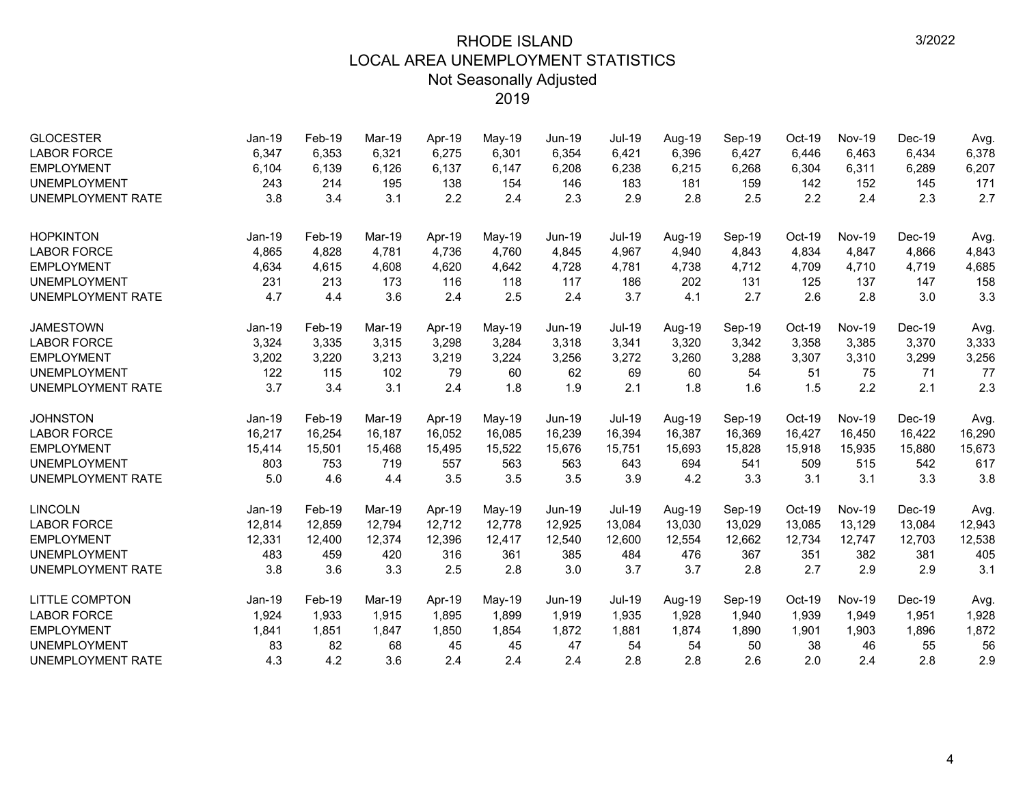| <b>GLOCESTER</b><br><b>LABOR FORCE</b><br><b>EMPLOYMENT</b> | Jan-19<br>6,347<br>6,104 | Feb-19<br>6,353<br>6,139 | Mar-19<br>6,321<br>6,126 | Apr-19<br>6,275<br>6,137 | May-19<br>6,301<br>6,147 | <b>Jun-19</b><br>6,354<br>6,208 | <b>Jul-19</b><br>6,421<br>6,238 | Aug-19<br>6,396<br>6,215 | Sep-19<br>6,427<br>6,268 | Oct-19<br>6,446<br>6,304 | <b>Nov-19</b><br>6,463<br>6,311 | Dec-19<br>6,434<br>6,289 | Avg.<br>6,378<br>6,207 |
|-------------------------------------------------------------|--------------------------|--------------------------|--------------------------|--------------------------|--------------------------|---------------------------------|---------------------------------|--------------------------|--------------------------|--------------------------|---------------------------------|--------------------------|------------------------|
| <b>UNEMPLOYMENT</b><br><b>UNEMPLOYMENT RATE</b>             | 243<br>3.8               | 214<br>3.4               | 195<br>3.1               | 138<br>2.2               | 154<br>2.4               | 146<br>2.3                      | 183<br>2.9                      | 181<br>2.8               | 159<br>2.5               | 142<br>2.2               | 152<br>2.4                      | 145<br>2.3               | 171<br>2.7             |
| <b>HOPKINTON</b>                                            | Jan-19                   | Feb-19                   | Mar-19                   | Apr-19                   | May-19                   | Jun-19                          | <b>Jul-19</b>                   | Aug-19                   | Sep-19                   | Oct-19                   | <b>Nov-19</b>                   | Dec-19                   | Avg.                   |
| <b>LABOR FORCE</b>                                          | 4,865                    | 4,828                    | 4,781                    | 4,736                    | 4,760                    | 4,845                           | 4,967                           | 4,940                    | 4,843                    | 4,834                    | 4,847                           | 4,866                    | 4,843                  |
| <b>EMPLOYMENT</b>                                           | 4,634                    | 4,615                    | 4,608                    | 4,620                    | 4,642                    | 4,728                           | 4,781                           | 4,738                    | 4,712                    | 4,709                    | 4,710                           | 4,719                    | 4,685                  |
| <b>UNEMPLOYMENT</b>                                         | 231                      | 213                      | 173                      | 116                      | 118                      | 117                             | 186                             | 202                      | 131                      | 125                      | 137                             | 147                      | 158                    |
| <b>UNEMPLOYMENT RATE</b>                                    | 4.7                      | 4.4                      | 3.6                      | 2.4                      | 2.5                      | 2.4                             | 3.7                             | 4.1                      | 2.7                      | 2.6                      | 2.8                             | 3.0                      | 3.3                    |
| <b>JAMESTOWN</b>                                            | Jan-19                   | Feb-19                   | Mar-19                   | Apr-19                   | May-19                   | Jun-19                          | Jul-19                          | Aug-19                   | Sep-19                   | Oct-19                   | <b>Nov-19</b>                   | Dec-19                   | Avg.                   |
| <b>LABOR FORCE</b>                                          | 3,324                    | 3,335                    | 3,315                    | 3,298                    | 3,284                    | 3,318                           | 3,341                           | 3,320                    | 3,342                    | 3,358                    | 3,385                           | 3,370                    | 3,333                  |
| <b>EMPLOYMENT</b>                                           | 3,202                    | 3,220                    | 3,213                    | 3,219                    | 3,224                    | 3,256                           | 3,272                           | 3,260                    | 3,288                    | 3,307                    | 3,310                           | 3,299                    | 3,256                  |
| <b>UNEMPLOYMENT</b>                                         | 122                      | 115                      | 102                      | 79                       | 60                       | 62                              | 69                              | 60                       | 54                       | 51                       | 75                              | 71                       | 77                     |
| <b>UNEMPLOYMENT RATE</b>                                    | 3.7                      | 3.4                      | 3.1                      | 2.4                      | 1.8                      | 1.9                             | 2.1                             | 1.8                      | 1.6                      | 1.5                      | 2.2                             | 2.1                      | 2.3                    |
| <b>JOHNSTON</b>                                             | Jan-19                   | Feb-19                   | Mar-19                   | Apr-19                   | May-19                   | Jun-19                          | <b>Jul-19</b>                   | Aug-19                   | Sep-19                   | Oct-19                   | <b>Nov-19</b>                   | $Dec-19$                 | Avg.                   |
| <b>LABOR FORCE</b>                                          | 16,217                   | 16,254                   | 16,187                   | 16,052                   | 16,085                   | 16,239                          | 16,394                          | 16,387                   | 16,369                   | 16,427                   | 16,450                          | 16,422                   | 16,290                 |
| <b>EMPLOYMENT</b>                                           | 15,414                   | 15,501                   | 15,468                   | 15,495                   | 15,522                   | 15,676                          | 15,751                          | 15,693                   | 15,828                   | 15,918                   | 15,935                          | 15,880                   | 15,673                 |
| <b>UNEMPLOYMENT</b>                                         | 803                      | 753                      | 719                      | 557                      | 563                      | 563                             | 643                             | 694                      | 541                      | 509                      | 515                             | 542                      | 617                    |
| <b>UNEMPLOYMENT RATE</b>                                    | 5.0                      | 4.6                      | 4.4                      | 3.5                      | 3.5                      | 3.5                             | 3.9                             | 4.2                      | 3.3                      | 3.1                      | 3.1                             | 3.3                      | 3.8                    |
| <b>LINCOLN</b>                                              | $Jan-19$                 | Feb-19                   | Mar-19                   | Apr-19                   | May-19                   | $Jun-19$                        | Jul-19                          | Aug-19                   | Sep-19                   | Oct-19                   | <b>Nov-19</b>                   | Dec-19                   | Avg.                   |
| <b>LABOR FORCE</b>                                          | 12,814                   | 12,859                   | 12,794                   | 12,712                   | 12,778                   | 12,925                          | 13,084                          | 13,030                   | 13,029                   | 13,085                   | 13,129                          | 13,084                   | 12,943                 |
| <b>EMPLOYMENT</b>                                           | 12,331                   | 12,400                   | 12,374                   | 12,396                   | 12,417                   | 12,540                          | 12,600                          | 12,554                   | 12,662                   | 12,734                   | 12,747                          | 12,703                   | 12,538                 |
| <b>UNEMPLOYMENT</b>                                         | 483                      | 459                      | 420                      | 316                      | 361                      | 385                             | 484                             | 476                      | 367                      | 351                      | 382                             | 381                      | 405                    |
| <b>UNEMPLOYMENT RATE</b>                                    | 3.8                      | 3.6                      | 3.3                      | 2.5                      | 2.8                      | 3.0                             | 3.7                             | 3.7                      | 2.8                      | 2.7                      | 2.9                             | 2.9                      | 3.1                    |
| <b>LITTLE COMPTON</b>                                       | Jan-19                   | Feb-19                   | Mar-19                   | Apr-19                   | May-19                   | <b>Jun-19</b>                   | <b>Jul-19</b>                   | Aug-19                   | Sep-19                   | Oct-19                   | <b>Nov-19</b>                   | $Dec-19$                 | Avg.                   |
| <b>LABOR FORCE</b>                                          | 1,924                    | 1,933                    | 1,915                    | 1,895                    | 1,899                    | 1,919                           | 1,935                           | 1,928                    | 1,940                    | 1,939                    | 1,949                           | 1,951                    | 1,928                  |
| <b>EMPLOYMENT</b>                                           | 1,841                    | 1,851                    | 1,847                    | 1,850                    | 1,854                    | 1,872                           | 1,881                           | 1,874                    | 1,890                    | 1,901                    | 1,903                           | 1,896                    | 1,872                  |
| <b>UNEMPLOYMENT</b>                                         | 83                       | 82                       | 68                       | 45                       | 45                       | 47                              | 54                              | 54                       | 50                       | 38                       | 46                              | 55                       | 56                     |
| <b>UNEMPLOYMENT RATE</b>                                    | 4.3                      | 4.2                      | 3.6                      | 2.4                      | 2.4                      | 2.4                             | 2.8                             | 2.8                      | 2.6                      | 2.0                      | 2.4                             | 2.8                      | 2.9                    |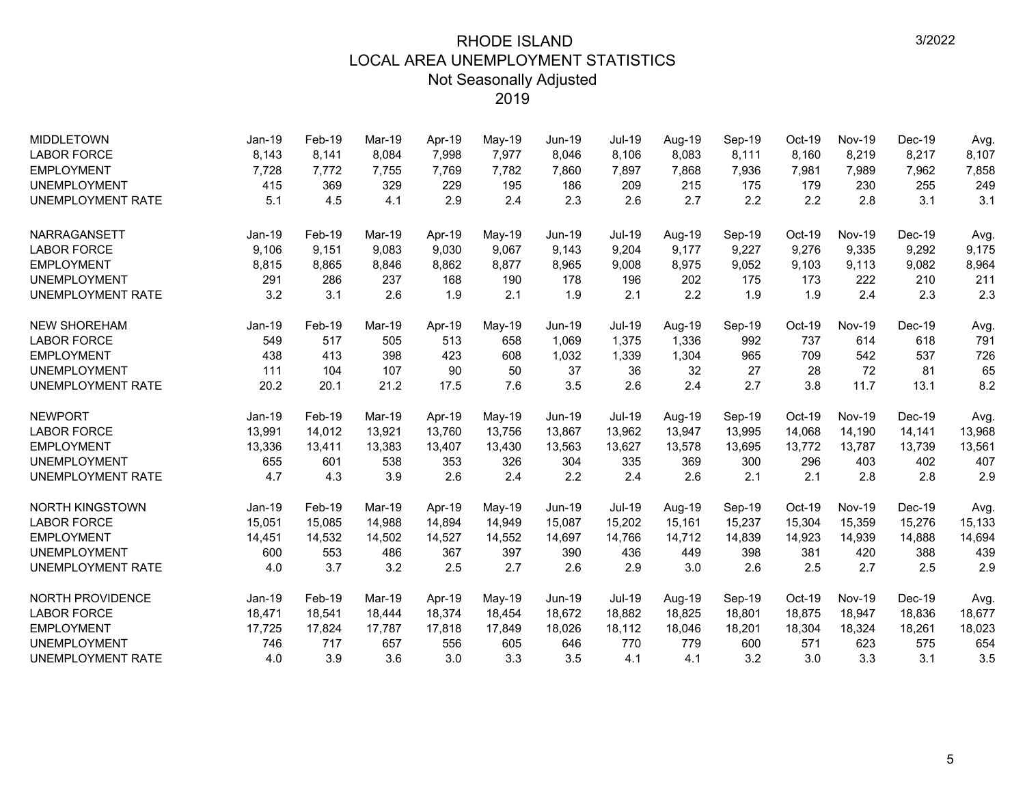| <b>MIDDLETOWN</b>        | $Jan-19$ | Feb-19 | Mar-19 | Apr-19 | May-19   | <b>Jun-19</b> | <b>Jul-19</b> | Aug-19 | Sep-19 | $Oct-19$ | <b>Nov-19</b> | Dec-19   | Avg.   |
|--------------------------|----------|--------|--------|--------|----------|---------------|---------------|--------|--------|----------|---------------|----------|--------|
| <b>LABOR FORCE</b>       | 8,143    | 8,141  | 8,084  | 7,998  | 7,977    | 8,046         | 8,106         | 8,083  | 8,111  | 8,160    | 8,219         | 8,217    | 8,107  |
| <b>EMPLOYMENT</b>        | 7,728    | 7,772  | 7,755  | 7,769  | 7,782    | 7,860         | 7,897         | 7,868  | 7,936  | 7,981    | 7,989         | 7,962    | 7,858  |
| <b>UNEMPLOYMENT</b>      | 415      | 369    | 329    | 229    | 195      | 186           | 209           | 215    | 175    | 179      | 230           | 255      | 249    |
| <b>UNEMPLOYMENT RATE</b> | 5.1      | 4.5    | 4.1    | 2.9    | 2.4      | 2.3           | 2.6           | 2.7    | 2.2    | 2.2      | 2.8           | 3.1      | 3.1    |
| NARRAGANSETT             | Jan-19   | Feb-19 | Mar-19 | Apr-19 | $May-19$ | <b>Jun-19</b> | <b>Jul-19</b> | Aug-19 | Sep-19 | Oct-19   | <b>Nov-19</b> | Dec-19   | Avg.   |
| <b>LABOR FORCE</b>       | 9,106    | 9,151  | 9.083  | 9,030  | 9,067    | 9,143         | 9,204         | 9.177  | 9,227  | 9,276    | 9,335         | 9,292    | 9,175  |
| <b>EMPLOYMENT</b>        | 8,815    | 8,865  | 8,846  | 8,862  | 8,877    | 8,965         | 9,008         | 8,975  | 9,052  | 9,103    | 9,113         | 9,082    | 8,964  |
| <b>UNEMPLOYMENT</b>      | 291      | 286    | 237    | 168    | 190      | 178           | 196           | 202    | 175    | 173      | 222           | 210      | 211    |
| UNEMPLOYMENT RATE        | 3.2      | 3.1    | 2.6    | 1.9    | 2.1      | 1.9           | 2.1           | 2.2    | 1.9    | 1.9      | 2.4           | 2.3      | 2.3    |
| <b>NEW SHOREHAM</b>      | Jan-19   | Feb-19 | Mar-19 | Apr-19 | May-19   | Jun-19        | <b>Jul-19</b> | Aug-19 | Sep-19 | Oct-19   | <b>Nov-19</b> | $Dec-19$ | Avg.   |
| <b>LABOR FORCE</b>       | 549      | 517    | 505    | 513    | 658      | 1,069         | 1,375         | 1,336  | 992    | 737      | 614           | 618      | 791    |
| <b>EMPLOYMENT</b>        | 438      | 413    | 398    | 423    | 608      | 1,032         | 1,339         | 1,304  | 965    | 709      | 542           | 537      | 726    |
| <b>UNEMPLOYMENT</b>      | 111      | 104    | 107    | 90     | 50       | 37            | 36            | 32     | 27     | 28       | 72            | 81       | 65     |
| UNEMPLOYMENT RATE        | 20.2     | 20.1   | 21.2   | 17.5   | 7.6      | 3.5           | 2.6           | 2.4    | 2.7    | 3.8      | 11.7          | 13.1     | 8.2    |
| <b>NEWPORT</b>           | $Jan-19$ | Feb-19 | Mar-19 | Apr-19 | May-19   | Jun-19        | <b>Jul-19</b> | Aug-19 | Sep-19 | Oct-19   | <b>Nov-19</b> | $Dec-19$ | Avg.   |
| <b>LABOR FORCE</b>       | 13,991   | 14,012 | 13,921 | 13.760 | 13,756   | 13,867        | 13,962        | 13,947 | 13,995 | 14,068   | 14,190        | 14,141   | 13,968 |
| <b>EMPLOYMENT</b>        | 13,336   | 13,411 | 13,383 | 13,407 | 13,430   | 13,563        | 13,627        | 13,578 | 13,695 | 13,772   | 13,787        | 13,739   | 13,561 |
| <b>UNEMPLOYMENT</b>      | 655      | 601    | 538    | 353    | 326      | 304           | 335           | 369    | 300    | 296      | 403           | 402      | 407    |
| <b>UNEMPLOYMENT RATE</b> | 4.7      | 4.3    | 3.9    | 2.6    | 2.4      | 2.2           | 2.4           | 2.6    | 2.1    | 2.1      | 2.8           | 2.8      | 2.9    |
| <b>NORTH KINGSTOWN</b>   | $Jan-19$ | Feb-19 | Mar-19 | Apr-19 | May-19   | Jun-19        | <b>Jul-19</b> | Aug-19 | Sep-19 | Oct-19   | <b>Nov-19</b> | $Dec-19$ | Avg.   |
| <b>LABOR FORCE</b>       | 15,051   | 15,085 | 14,988 | 14,894 | 14,949   | 15,087        | 15,202        | 15,161 | 15,237 | 15,304   | 15,359        | 15,276   | 15,133 |
| <b>EMPLOYMENT</b>        | 14,451   | 14,532 | 14,502 | 14,527 | 14,552   | 14,697        | 14,766        | 14,712 | 14,839 | 14,923   | 14,939        | 14,888   | 14,694 |
| <b>UNEMPLOYMENT</b>      | 600      | 553    | 486    | 367    | 397      | 390           | 436           | 449    | 398    | 381      | 420           | 388      | 439    |
| <b>UNEMPLOYMENT RATE</b> | 4.0      | 3.7    | 3.2    | 2.5    | 2.7      | 2.6           | 2.9           | 3.0    | 2.6    | 2.5      | 2.7           | 2.5      | 2.9    |
| <b>NORTH PROVIDENCE</b>  | $Jan-19$ | Feb-19 | Mar-19 | Apr-19 | May-19   | <b>Jun-19</b> | <b>Jul-19</b> | Aug-19 | Sep-19 | Oct-19   | <b>Nov-19</b> | $Dec-19$ | Avg.   |
| <b>LABOR FORCE</b>       | 18,471   | 18,541 | 18,444 | 18,374 | 18,454   | 18,672        | 18,882        | 18,825 | 18,801 | 18,875   | 18,947        | 18,836   | 18,677 |
| <b>EMPLOYMENT</b>        | 17,725   | 17,824 | 17,787 | 17,818 | 17,849   | 18,026        | 18,112        | 18,046 | 18,201 | 18,304   | 18,324        | 18,261   | 18,023 |
| <b>UNEMPLOYMENT</b>      | 746      | 717    | 657    | 556    | 605      | 646           | 770           | 779    | 600    | 571      | 623           | 575      | 654    |
| <b>UNEMPLOYMENT RATE</b> | 4.0      | 3.9    | 3.6    | 3.0    | 3.3      | 3.5           | 4.1           | 4.1    | 3.2    | 3.0      | 3.3           | 3.1      | 3.5    |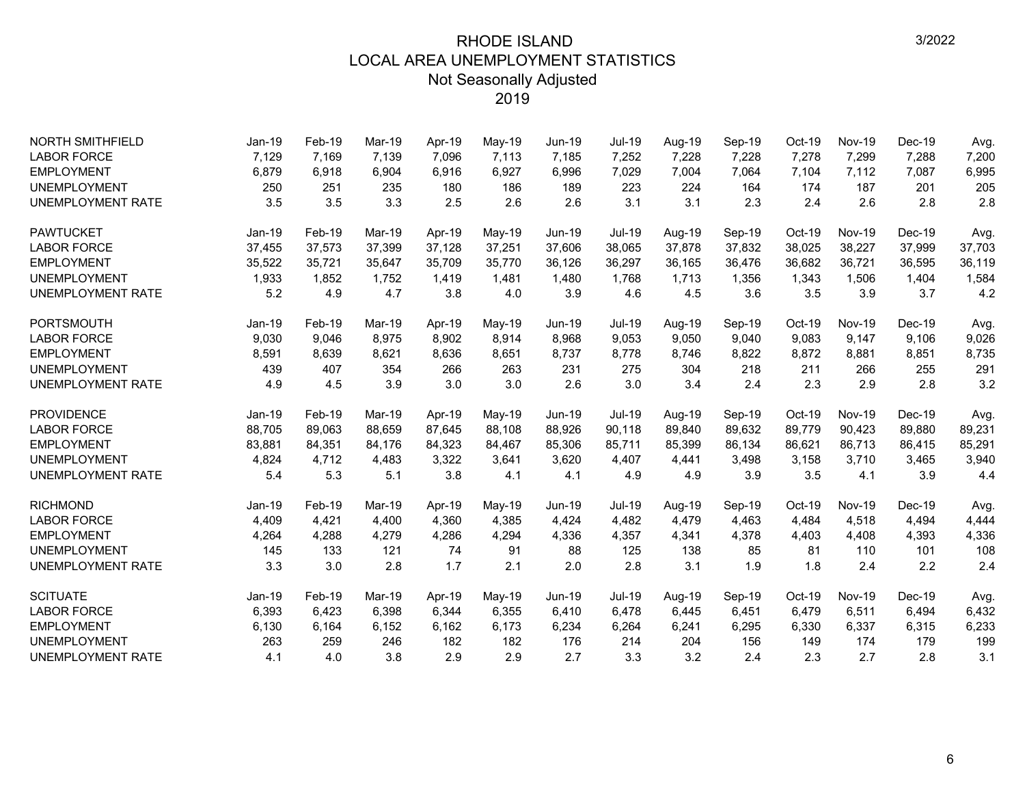| <b>NORTH SMITHFIELD</b>  | $Jan-19$ | Feb-19 | <b>Mar-19</b> | Apr-19 | May-19 | <b>Jun-19</b> | <b>Jul-19</b> | Aug-19 | Sep-19 | Oct-19   | <b>Nov-19</b> | Dec-19   | Avg.   |
|--------------------------|----------|--------|---------------|--------|--------|---------------|---------------|--------|--------|----------|---------------|----------|--------|
| <b>LABOR FORCE</b>       | 7,129    | 7,169  | 7,139         | 7,096  | 7,113  | 7,185         | 7,252         | 7,228  | 7,228  | 7,278    | 7,299         | 7,288    | 7,200  |
| <b>EMPLOYMENT</b>        | 6,879    | 6,918  | 6,904         | 6,916  | 6,927  | 6,996         | 7,029         | 7,004  | 7,064  | 7,104    | 7,112         | 7,087    | 6,995  |
| <b>UNEMPLOYMENT</b>      | 250      | 251    | 235           | 180    | 186    | 189           | 223           | 224    | 164    | 174      | 187           | 201      | 205    |
| <b>UNEMPLOYMENT RATE</b> | 3.5      | 3.5    | 3.3           | 2.5    | 2.6    | 2.6           | 3.1           | 3.1    | 2.3    | 2.4      | 2.6           | 2.8      | 2.8    |
| <b>PAWTUCKET</b>         | Jan-19   | Feb-19 | Mar-19        | Apr-19 | May-19 | $Jun-19$      | <b>Jul-19</b> | Aug-19 | Sep-19 | Oct-19   | <b>Nov-19</b> | $Dec-19$ | Avg.   |
| <b>LABOR FORCE</b>       | 37,455   | 37,573 | 37,399        | 37,128 | 37,251 | 37,606        | 38,065        | 37,878 | 37,832 | 38,025   | 38,227        | 37,999   | 37,703 |
| <b>EMPLOYMENT</b>        | 35,522   | 35,721 | 35,647        | 35,709 | 35,770 | 36,126        | 36,297        | 36,165 | 36,476 | 36,682   | 36,721        | 36,595   | 36,119 |
| <b>UNEMPLOYMENT</b>      | 1,933    | 1,852  | 1,752         | 1,419  | 1,481  | 1,480         | 1,768         | 1,713  | 1,356  | 1,343    | 1,506         | 1,404    | 1,584  |
| <b>UNEMPLOYMENT RATE</b> | 5.2      | 4.9    | 4.7           | 3.8    | 4.0    | 3.9           | 4.6           | 4.5    | 3.6    | 3.5      | 3.9           | 3.7      | 4.2    |
| PORTSMOUTH               | Jan-19   | Feb-19 | Mar-19        | Apr-19 | May-19 | Jun-19        | Jul-19        | Aug-19 | Sep-19 | Oct-19   | <b>Nov-19</b> | $Dec-19$ | Avg.   |
| <b>LABOR FORCE</b>       | 9,030    | 9,046  | 8,975         | 8,902  | 8,914  | 8,968         | 9,053         | 9,050  | 9,040  | 9,083    | 9,147         | 9,106    | 9,026  |
| <b>EMPLOYMENT</b>        | 8,591    | 8,639  | 8,621         | 8,636  | 8,651  | 8,737         | 8,778         | 8,746  | 8,822  | 8,872    | 8,881         | 8,851    | 8,735  |
| <b>UNEMPLOYMENT</b>      | 439      | 407    | 354           | 266    | 263    | 231           | 275           | 304    | 218    | 211      | 266           | 255      | 291    |
| <b>UNEMPLOYMENT RATE</b> | 4.9      | 4.5    | 3.9           | 3.0    | 3.0    | 2.6           | 3.0           | 3.4    | 2.4    | 2.3      | 2.9           | 2.8      | 3.2    |
| <b>PROVIDENCE</b>        | Jan-19   | Feb-19 | Mar-19        | Apr-19 | May-19 | Jun-19        | <b>Jul-19</b> | Aug-19 | Sep-19 | Oct-19   | <b>Nov-19</b> | $Dec-19$ | Avg.   |
| <b>LABOR FORCE</b>       | 88,705   | 89,063 | 88.659        | 87,645 | 88,108 | 88,926        | 90,118        | 89,840 | 89,632 | 89,779   | 90,423        | 89,880   | 89,231 |
| <b>EMPLOYMENT</b>        | 83,881   | 84,351 | 84,176        | 84,323 | 84,467 | 85,306        | 85,711        | 85,399 | 86,134 | 86,621   | 86,713        | 86,415   | 85,291 |
| <b>UNEMPLOYMENT</b>      | 4,824    | 4.712  | 4,483         | 3,322  | 3,641  | 3,620         | 4,407         | 4,441  | 3,498  | 3,158    | 3,710         | 3,465    | 3,940  |
| <b>UNEMPLOYMENT RATE</b> | 5.4      | 5.3    | 5.1           | 3.8    | 4.1    | 4.1           | 4.9           | 4.9    | 3.9    | 3.5      | 4.1           | 3.9      | 4.4    |
| <b>RICHMOND</b>          | $Jan-19$ | Feb-19 | Mar-19        | Apr-19 | May-19 | Jun-19        | Jul-19        | Aug-19 | Sep-19 | Oct-19   | <b>Nov-19</b> | Dec-19   | Avg.   |
| <b>LABOR FORCE</b>       | 4,409    | 4,421  | 4,400         | 4,360  | 4,385  | 4,424         | 4,482         | 4,479  | 4,463  | 4,484    | 4,518         | 4,494    | 4,444  |
| <b>EMPLOYMENT</b>        | 4,264    | 4,288  | 4,279         | 4,286  | 4,294  | 4,336         | 4,357         | 4,341  | 4,378  | 4,403    | 4,408         | 4,393    | 4,336  |
| <b>UNEMPLOYMENT</b>      | 145      | 133    | 121           | 74     | 91     | 88            | 125           | 138    | 85     | 81       | 110           | 101      | 108    |
| <b>UNEMPLOYMENT RATE</b> | 3.3      | 3.0    | 2.8           | 1.7    | 2.1    | 2.0           | 2.8           | 3.1    | 1.9    | 1.8      | 2.4           | 2.2      | 2.4    |
| <b>SCITUATE</b>          | $Jan-19$ | Feb-19 | Mar-19        | Apr-19 | May-19 | $Jun-19$      | Jul-19        | Aug-19 | Sep-19 | $Oct-19$ | <b>Nov-19</b> | $Dec-19$ | Avg.   |
| <b>LABOR FORCE</b>       | 6,393    | 6,423  | 6,398         | 6,344  | 6,355  | 6,410         | 6,478         | 6,445  | 6,451  | 6,479    | 6,511         | 6,494    | 6,432  |
| <b>EMPLOYMENT</b>        | 6,130    | 6,164  | 6,152         | 6,162  | 6,173  | 6,234         | 6,264         | 6,241  | 6,295  | 6,330    | 6,337         | 6,315    | 6,233  |
| <b>UNEMPLOYMENT</b>      | 263      | 259    | 246           | 182    | 182    | 176           | 214           | 204    | 156    | 149      | 174           | 179      | 199    |
| <b>UNEMPLOYMENT RATE</b> | 4.1      | 4.0    | 3.8           | 2.9    | 2.9    | 2.7           | 3.3           | 3.2    | 2.4    | 2.3      | 2.7           | 2.8      | 3.1    |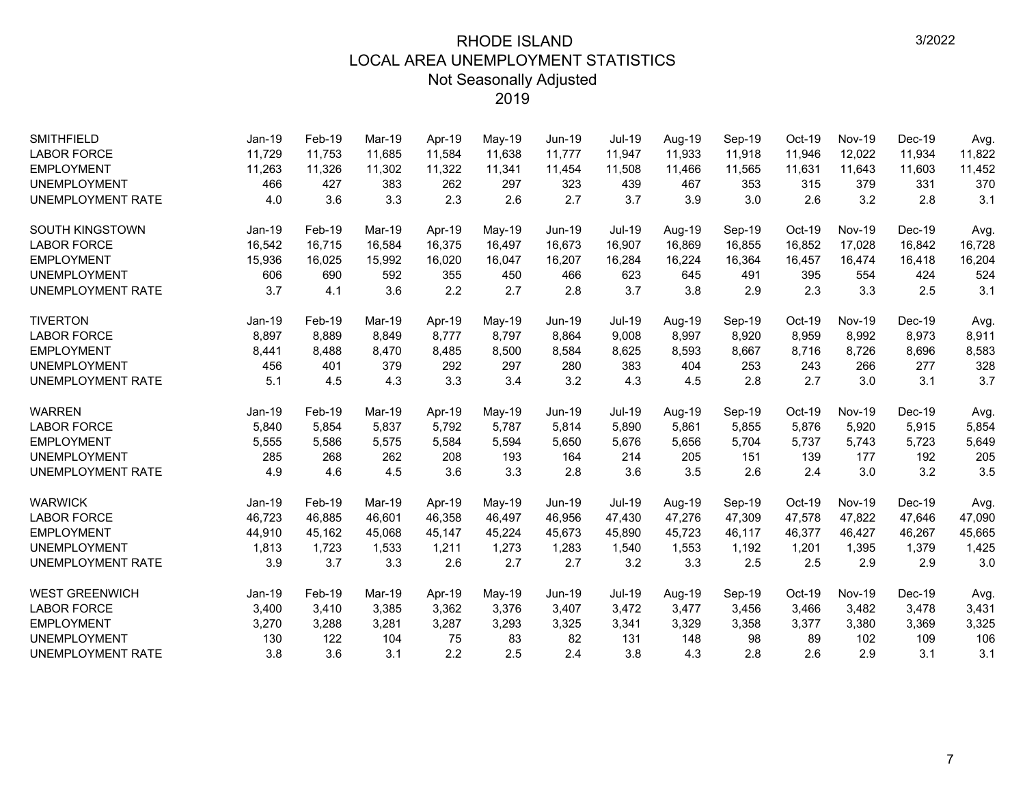| <b>SMITHFIELD</b>        | Jan-19   | Feb-19 | Mar-19 | Apr-19 | May-19 | Jun-19        | Jul-19        | Aug-19 | Sep-19 | Oct-19 | <b>Nov-19</b> | Dec-19   | Avg.   |
|--------------------------|----------|--------|--------|--------|--------|---------------|---------------|--------|--------|--------|---------------|----------|--------|
| <b>LABOR FORCE</b>       | 11,729   | 11,753 | 11,685 | 11,584 | 11,638 | 11,777        | 11,947        | 11,933 | 11,918 | 11,946 | 12,022        | 11,934   | 11,822 |
| <b>EMPLOYMENT</b>        | 11,263   | 11,326 | 11,302 | 11,322 | 11,341 | 11,454        | 11,508        | 11,466 | 11,565 | 11,631 | 11,643        | 11,603   | 11,452 |
| <b>UNEMPLOYMENT</b>      | 466      | 427    | 383    | 262    | 297    | 323           | 439           | 467    | 353    | 315    | 379           | 331      | 370    |
| <b>UNEMPLOYMENT RATE</b> | 4.0      | 3.6    | 3.3    | 2.3    | 2.6    | 2.7           | 3.7           | 3.9    | 3.0    | 2.6    | 3.2           | 2.8      | 3.1    |
| SOUTH KINGSTOWN          | Jan-19   | Feb-19 | Mar-19 | Apr-19 | May-19 | Jun-19        | <b>Jul-19</b> | Aug-19 | Sep-19 | Oct-19 | <b>Nov-19</b> | Dec-19   | Avg.   |
| <b>LABOR FORCE</b>       | 16,542   | 16,715 | 16,584 | 16,375 | 16,497 | 16,673        | 16,907        | 16,869 | 16,855 | 16,852 | 17,028        | 16,842   | 16,728 |
| <b>EMPLOYMENT</b>        | 15,936   | 16,025 | 15,992 | 16,020 | 16,047 | 16,207        | 16,284        | 16,224 | 16,364 | 16,457 | 16,474        | 16,418   | 16,204 |
| <b>UNEMPLOYMENT</b>      | 606      | 690    | 592    | 355    | 450    | 466           | 623           | 645    | 491    | 395    | 554           | 424      | 524    |
| UNEMPLOYMENT RATE        | 3.7      | 4.1    | 3.6    | 2.2    | 2.7    | 2.8           | 3.7           | 3.8    | 2.9    | 2.3    | 3.3           | 2.5      | 3.1    |
| <b>TIVERTON</b>          | Jan-19   | Feb-19 | Mar-19 | Apr-19 | May-19 | <b>Jun-19</b> | Jul-19        | Aug-19 | Sep-19 | Oct-19 | <b>Nov-19</b> | Dec-19   | Avg.   |
| <b>LABOR FORCE</b>       | 8,897    | 8,889  | 8,849  | 8,777  | 8,797  | 8,864         | 9,008         | 8,997  | 8,920  | 8,959  | 8,992         | 8,973    | 8,911  |
| <b>EMPLOYMENT</b>        | 8,441    | 8,488  | 8,470  | 8,485  | 8,500  | 8,584         | 8,625         | 8,593  | 8,667  | 8,716  | 8,726         | 8,696    | 8,583  |
| <b>UNEMPLOYMENT</b>      | 456      | 401    | 379    | 292    | 297    | 280           | 383           | 404    | 253    | 243    | 266           | 277      | 328    |
| UNEMPLOYMENT RATE        | 5.1      | 4.5    | 4.3    | 3.3    | 3.4    | 3.2           | 4.3           | 4.5    | 2.8    | 2.7    | 3.0           | 3.1      | 3.7    |
| <b>WARREN</b>            | Jan-19   | Feb-19 | Mar-19 | Apr-19 | May-19 | <b>Jun-19</b> | <b>Jul-19</b> | Aug-19 | Sep-19 | Oct-19 | <b>Nov-19</b> | Dec-19   | Avg.   |
| <b>LABOR FORCE</b>       | 5,840    | 5,854  | 5,837  | 5,792  | 5,787  | 5,814         | 5,890         | 5,861  | 5,855  | 5,876  | 5,920         | 5,915    | 5,854  |
| <b>EMPLOYMENT</b>        | 5,555    | 5,586  | 5,575  | 5,584  | 5,594  | 5,650         | 5,676         | 5,656  | 5,704  | 5,737  | 5,743         | 5,723    | 5,649  |
| <b>UNEMPLOYMENT</b>      | 285      | 268    | 262    | 208    | 193    | 164           | 214           | 205    | 151    | 139    | 177           | 192      | 205    |
| UNEMPLOYMENT RATE        | 4.9      | 4.6    | 4.5    | 3.6    | 3.3    | 2.8           | 3.6           | 3.5    | 2.6    | 2.4    | 3.0           | 3.2      | 3.5    |
| <b>WARWICK</b>           | $Jan-19$ | Feb-19 | Mar-19 | Apr-19 | May-19 | <b>Jun-19</b> | <b>Jul-19</b> | Aug-19 | Sep-19 | Oct-19 | <b>Nov-19</b> | $Dec-19$ | Avg.   |
| <b>LABOR FORCE</b>       | 46,723   | 46,885 | 46,601 | 46,358 | 46,497 | 46,956        | 47,430        | 47,276 | 47,309 | 47,578 | 47,822        | 47,646   | 47,090 |
| <b>EMPLOYMENT</b>        | 44,910   | 45,162 | 45.068 | 45,147 | 45,224 | 45,673        | 45,890        | 45,723 | 46,117 | 46,377 | 46,427        | 46,267   | 45,665 |
| <b>UNEMPLOYMENT</b>      | 1,813    | 1,723  | 1,533  | 1,211  | 1,273  | 1,283         | 1,540         | 1,553  | 1,192  | 1,201  | 1,395         | 1,379    | 1,425  |
| UNEMPLOYMENT RATE        | 3.9      | 3.7    | 3.3    | 2.6    | 2.7    | 2.7           | 3.2           | 3.3    | 2.5    | 2.5    | 2.9           | 2.9      | 3.0    |
| <b>WEST GREENWICH</b>    | $Jan-19$ | Feb-19 | Mar-19 | Apr-19 | May-19 | <b>Jun-19</b> | <b>Jul-19</b> | Aug-19 | Sep-19 | Oct-19 | <b>Nov-19</b> | $Dec-19$ | Avg.   |
| <b>LABOR FORCE</b>       | 3,400    | 3,410  | 3,385  | 3,362  | 3,376  | 3,407         | 3,472         | 3,477  | 3,456  | 3,466  | 3,482         | 3,478    | 3,431  |
| <b>EMPLOYMENT</b>        | 3,270    | 3,288  | 3,281  | 3,287  | 3,293  | 3,325         | 3,341         | 3,329  | 3,358  | 3,377  | 3,380         | 3,369    | 3,325  |
| <b>UNEMPLOYMENT</b>      | 130      | 122    | 104    | 75     | 83     | 82            | 131           | 148    | 98     | 89     | 102           | 109      | 106    |
| <b>UNEMPLOYMENT RATE</b> | 3.8      | 3.6    | 3.1    | 2.2    | 2.5    | 2.4           | 3.8           | 4.3    | 2.8    | 2.6    | 2.9           | 3.1      | 3.1    |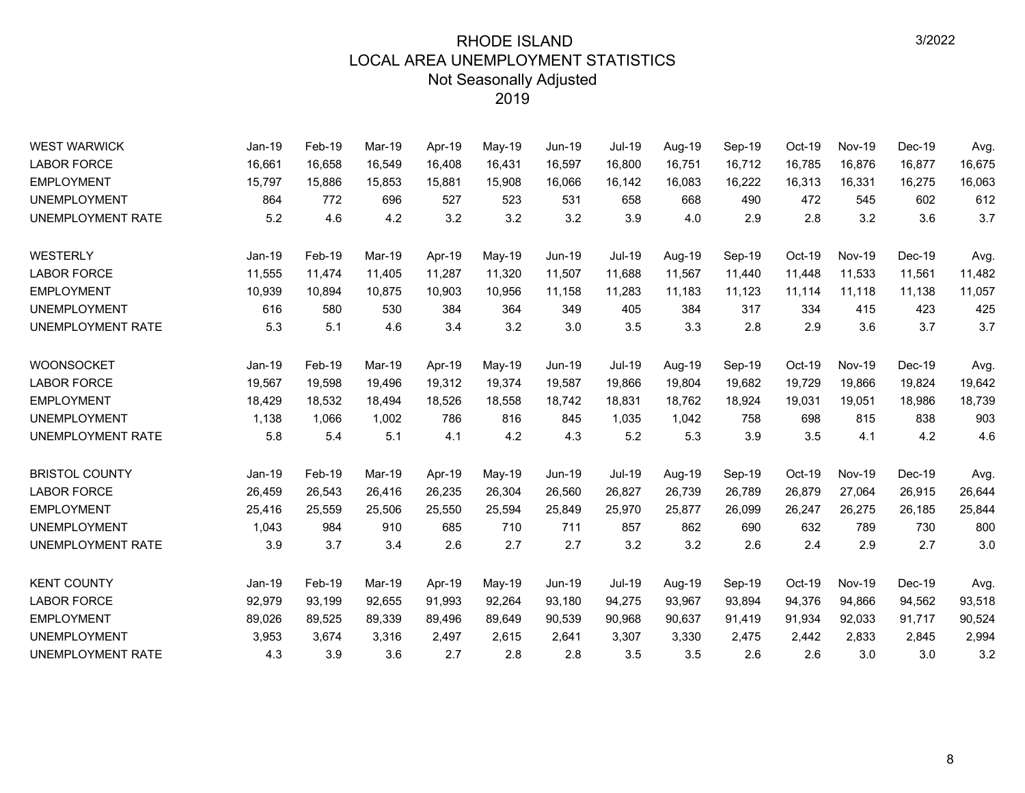| <b>WEST WARWICK</b>      | Jan-19   | Feb-19 | Mar-19 | Apr-19 | May-19 | <b>Jun-19</b> | Jul-19        | Aug-19 | Sep-19 | Oct-19 | <b>Nov-19</b> | Dec-19 | Avg.   |
|--------------------------|----------|--------|--------|--------|--------|---------------|---------------|--------|--------|--------|---------------|--------|--------|
| <b>LABOR FORCE</b>       | 16,661   | 16,658 | 16,549 | 16,408 | 16,431 | 16,597        | 16,800        | 16,751 | 16,712 | 16,785 | 16,876        | 16,877 | 16,675 |
| <b>EMPLOYMENT</b>        | 15,797   | 15,886 | 15,853 | 15,881 | 15,908 | 16,066        | 16,142        | 16,083 | 16,222 | 16,313 | 16,331        | 16,275 | 16,063 |
| <b>UNEMPLOYMENT</b>      | 864      | 772    | 696    | 527    | 523    | 531           | 658           | 668    | 490    | 472    | 545           | 602    | 612    |
| <b>UNEMPLOYMENT RATE</b> | 5.2      | 4.6    | 4.2    | 3.2    | 3.2    | 3.2           | 3.9           | 4.0    | 2.9    | 2.8    | 3.2           | 3.6    | 3.7    |
| WESTERLY                 | Jan-19   | Feb-19 | Mar-19 | Apr-19 | May-19 | <b>Jun-19</b> | <b>Jul-19</b> | Aug-19 | Sep-19 | Oct-19 | <b>Nov-19</b> | Dec-19 | Avg.   |
| <b>LABOR FORCE</b>       | 11,555   | 11,474 | 11,405 | 11,287 | 11,320 | 11,507        | 11,688        | 11,567 | 11,440 | 11,448 | 11,533        | 11,561 | 11,482 |
| <b>EMPLOYMENT</b>        | 10,939   | 10,894 | 10,875 | 10,903 | 10,956 | 11,158        | 11,283        | 11,183 | 11,123 | 11,114 | 11,118        | 11,138 | 11,057 |
| <b>UNEMPLOYMENT</b>      | 616      | 580    | 530    | 384    | 364    | 349           | 405           | 384    | 317    | 334    | 415           | 423    | 425    |
| UNEMPLOYMENT RATE        | 5.3      | 5.1    | 4.6    | 3.4    | 3.2    | 3.0           | 3.5           | 3.3    | 2.8    | 2.9    | 3.6           | 3.7    | 3.7    |
| <b>WOONSOCKET</b>        | $Jan-19$ | Feb-19 | Mar-19 | Apr-19 | May-19 | Jun-19        | <b>Jul-19</b> | Aug-19 | Sep-19 | Oct-19 | <b>Nov-19</b> | Dec-19 | Avg.   |
| <b>LABOR FORCE</b>       | 19,567   | 19,598 | 19,496 | 19,312 | 19,374 | 19,587        | 19,866        | 19,804 | 19,682 | 19,729 | 19,866        | 19,824 | 19,642 |
| <b>EMPLOYMENT</b>        | 18,429   | 18,532 | 18,494 | 18,526 | 18,558 | 18,742        | 18,831        | 18,762 | 18,924 | 19,031 | 19,051        | 18,986 | 18,739 |
| <b>UNEMPLOYMENT</b>      | 1,138    | 1,066  | 1,002  | 786    | 816    | 845           | 1,035         | 1,042  | 758    | 698    | 815           | 838    | 903    |
| UNEMPLOYMENT RATE        | 5.8      | 5.4    | 5.1    | 4.1    | 4.2    | 4.3           | 5.2           | 5.3    | 3.9    | 3.5    | 4.1           | 4.2    | 4.6    |
| <b>BRISTOL COUNTY</b>    | $Jan-19$ | Feb-19 | Mar-19 | Apr-19 | May-19 | Jun-19        | <b>Jul-19</b> | Aug-19 | Sep-19 | Oct-19 | <b>Nov-19</b> | Dec-19 | Avg.   |
| <b>LABOR FORCE</b>       | 26,459   | 26,543 | 26,416 | 26,235 | 26,304 | 26,560        | 26,827        | 26,739 | 26,789 | 26,879 | 27,064        | 26,915 | 26,644 |
| <b>EMPLOYMENT</b>        | 25,416   | 25,559 | 25,506 | 25,550 | 25,594 | 25,849        | 25,970        | 25,877 | 26,099 | 26,247 | 26,275        | 26,185 | 25,844 |
| <b>UNEMPLOYMENT</b>      | 1,043    | 984    | 910    | 685    | 710    | 711           | 857           | 862    | 690    | 632    | 789           | 730    | 800    |
| UNEMPLOYMENT RATE        | 3.9      | 3.7    | 3.4    | 2.6    | 2.7    | 2.7           | 3.2           | 3.2    | 2.6    | 2.4    | 2.9           | 2.7    | 3.0    |
| <b>KENT COUNTY</b>       | $Jan-19$ | Feb-19 | Mar-19 | Apr-19 | May-19 | Jun-19        | <b>Jul-19</b> | Aug-19 | Sep-19 | Oct-19 | <b>Nov-19</b> | Dec-19 | Avg.   |
| <b>LABOR FORCE</b>       | 92,979   | 93,199 | 92,655 | 91,993 | 92,264 | 93,180        | 94,275        | 93,967 | 93,894 | 94,376 | 94,866        | 94,562 | 93,518 |
| <b>EMPLOYMENT</b>        | 89,026   | 89,525 | 89,339 | 89,496 | 89,649 | 90,539        | 90,968        | 90,637 | 91,419 | 91,934 | 92,033        | 91,717 | 90,524 |
| <b>UNEMPLOYMENT</b>      | 3,953    | 3,674  | 3,316  | 2,497  | 2,615  | 2,641         | 3,307         | 3,330  | 2,475  | 2,442  | 2,833         | 2,845  | 2,994  |
| UNEMPLOYMENT RATE        | 4.3      | 3.9    | 3.6    | 2.7    | 2.8    | 2.8           | 3.5           | 3.5    | 2.6    | 2.6    | 3.0           | 3.0    | 3.2    |